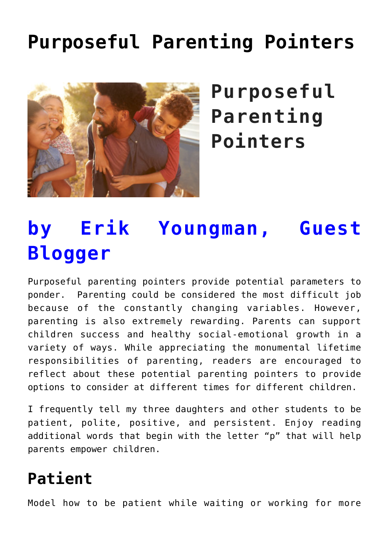# **[Purposeful Parenting Pointers](https://genparenting.com/parenting-pointers/)**



**Purposeful Parenting Pointers**

# **by Erik Youngman, Guest Blogger**

Purposeful parenting pointers provide potential parameters to ponder. Parenting could be considered the most difficult job because of the constantly changing variables. However, parenting is also extremely rewarding. Parents can support children success and healthy social-emotional growth in a variety of ways. While appreciating the monumental lifetime responsibilities of parenting, readers are encouraged to reflect about these potential parenting pointers to provide options to consider at different times for different children.

I frequently tell my three daughters and other students to be patient, polite, positive, and persistent. Enjoy reading additional words that begin with the letter "p" that will help parents empower children.

# **Patient**

Model how to be patient while waiting or working for more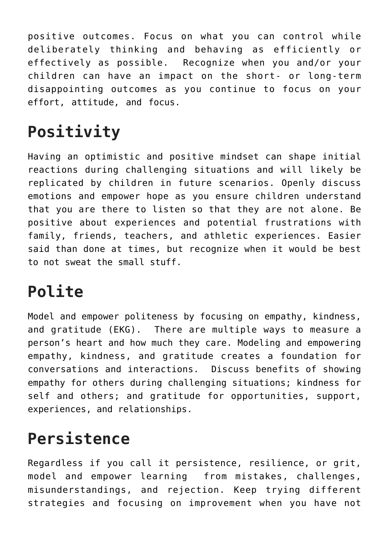positive outcomes. Focus on what you can control while deliberately thinking and behaving as efficiently or effectively as possible. Recognize when you and/or your children can have an impact on the short- or long-term disappointing outcomes as you continue to focus on your effort, attitude, and focus.

# **Positivity**

Having an optimistic and positive mindset can shape initial reactions during challenging situations and will likely be replicated by children in future scenarios. Openly discuss emotions and empower hope as you ensure children understand that you are there to listen so that they are not alone. Be positive about experiences and potential frustrations with family, friends, teachers, and athletic experiences. Easier said than done at times, but recognize when it would be best to not sweat the small stuff.

## **Polite**

Model and empower politeness by focusing on empathy, kindness, and gratitude (EKG). There are multiple ways to measure a person's heart and how much they care. Modeling and empowering empathy, kindness, and gratitude creates a foundation for conversations and interactions. Discuss benefits of showing empathy for others during challenging situations; kindness for self and others; and gratitude for opportunities, support, experiences, and relationships.

### **Persistence**

Regardless if you call it persistence, resilience, or grit, model and empower learning from mistakes, challenges, misunderstandings, and rejection. Keep trying different strategies and focusing on improvement when you have not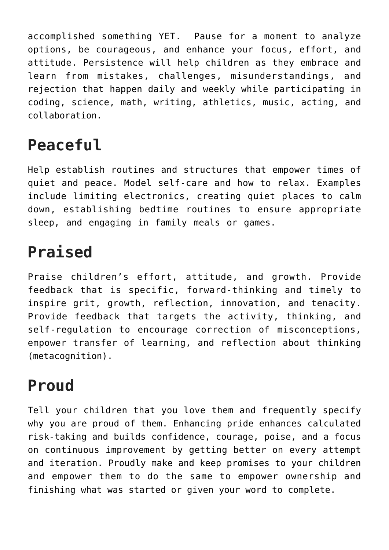accomplished something YET. Pause for a moment to analyze options, be courageous, and enhance your focus, effort, and attitude. Persistence will help children as they embrace and learn from mistakes, challenges, misunderstandings, and rejection that happen daily and weekly while participating in coding, science, math, writing, athletics, music, acting, and collaboration.

## **Peaceful**

Help establish routines and structures that empower times of quiet and peace. Model self-care and how to relax. Examples include limiting electronics, creating quiet places to calm down, establishing bedtime routines to ensure appropriate sleep, and engaging in family meals or games.

# **Praised**

Praise children's effort, attitude, and growth. Provide feedback that is specific, forward-thinking and timely to inspire grit, growth, reflection, innovation, and tenacity. Provide feedback that targets the activity, thinking, and self-regulation to encourage correction of misconceptions, empower transfer of learning, and reflection about thinking (metacognition).

### **Proud**

Tell your children that you love them and frequently specify why you are proud of them. Enhancing pride enhances calculated risk-taking and builds confidence, courage, poise, and a focus on continuous improvement by getting better on every attempt and iteration. Proudly make and keep promises to your children and empower them to do the same to empower ownership and finishing what was started or given your word to complete.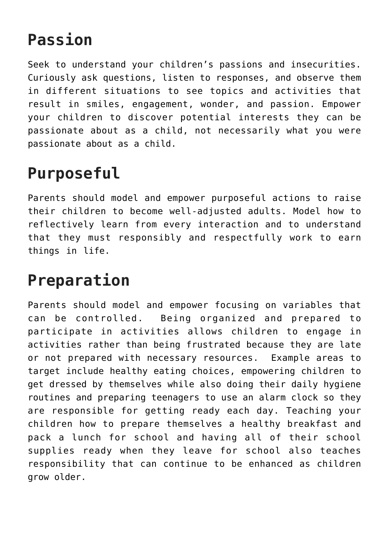### **Passion**

Seek to understand your children's passions and insecurities. Curiously ask questions, listen to responses, and observe them in different situations to see topics and activities that result in smiles, engagement, wonder, and passion. Empower your children to discover potential interests they can be passionate about as a child, not necessarily what you were passionate about as a child.

## **Purposeful**

Parents should model and empower purposeful actions to raise their children to become well-adjusted adults. Model how to reflectively learn from every interaction and to understand that they must responsibly and respectfully work to earn things in life.

### **Preparation**

Parents should model and empower focusing on variables that can be controlled. Being organized and prepared to participate in activities allows children to engage in activities rather than being frustrated because they are late or not prepared with necessary resources. Example areas to target include healthy eating choices, empowering children to get dressed by themselves while also doing their daily hygiene routines and preparing teenagers to use an alarm clock so they are responsible for getting ready each day. Teaching your children how to prepare themselves a healthy breakfast and pack a lunch for school and having all of their school supplies ready when they leave for school also teaches responsibility that can continue to be enhanced as children grow older.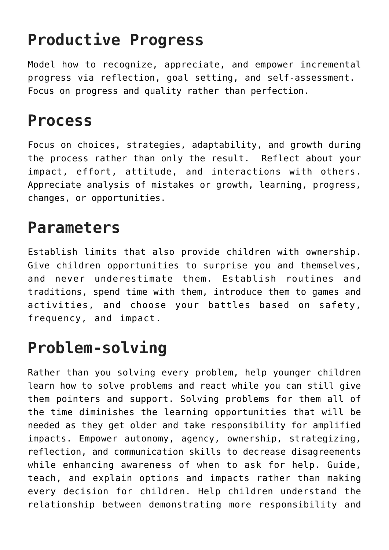## **Productive Progress**

Model how to recognize, appreciate, and empower incremental progress via reflection, goal setting, and self-assessment. Focus on progress and quality rather than perfection.

#### **Process**

Focus on choices, strategies, adaptability, and growth during the process rather than only the result. Reflect about your impact, effort, attitude, and interactions with others. Appreciate analysis of mistakes or growth, learning, progress, changes, or opportunities.

### **Parameters**

Establish limits that also provide children with ownership. Give children opportunities to surprise you and themselves, and never underestimate them. Establish routines and traditions, spend time with them, introduce them to games and activities, and choose your battles based on safety, frequency, and impact.

### **Problem-solving**

Rather than you solving every problem, help younger children learn how to solve problems and react while you can still give them pointers and support. Solving problems for them all of the time diminishes the learning opportunities that will be needed as they get older and take responsibility for amplified impacts. Empower autonomy, agency, ownership, strategizing, reflection, and communication skills to decrease disagreements while enhancing awareness of when to ask for help. Guide, teach, and explain options and impacts rather than making every decision for children. Help children understand the relationship between demonstrating more responsibility and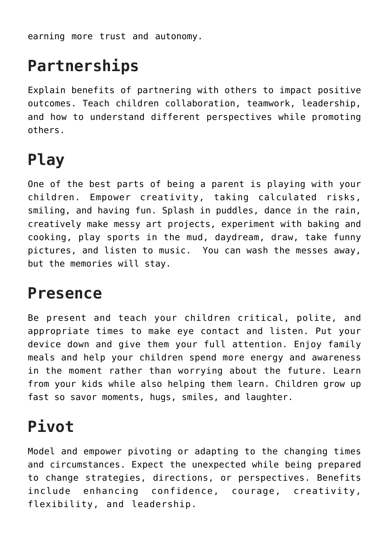earning more trust and autonomy.

## **Partnerships**

Explain benefits of partnering with others to impact positive outcomes. Teach children collaboration, teamwork, leadership, and how to understand different perspectives while promoting others.

## **Play**

One of the best parts of being a parent is playing with your children. Empower creativity, taking calculated risks, smiling, and having fun. Splash in puddles, dance in the rain, creatively make messy art projects, experiment with baking and cooking, play sports in the mud, daydream, draw, take funny pictures, and listen to music. You can wash the messes away, but the memories will stay.

#### **Presence**

Be present and teach your children critical, polite, and appropriate times to make eye contact and listen. Put your device down and give them your full attention. Enjoy family meals and help your children spend more energy and awareness in the moment rather than worrying about the future. Learn from your kids while also helping them learn. Children grow up fast so savor moments, hugs, smiles, and laughter.

# **Pivot**

Model and empower pivoting or adapting to the changing times and circumstances. Expect the unexpected while being prepared to change strategies, directions, or perspectives. Benefits include enhancing confidence, courage, creativity, flexibility, and leadership.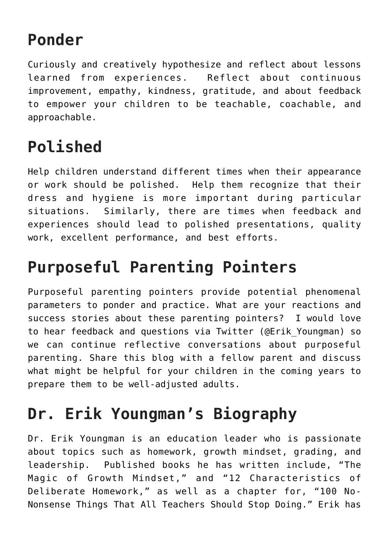### **Ponder**

Curiously and creatively hypothesize and reflect about lessons learned from experiences. Reflect about continuous improvement, empathy, kindness, gratitude, and about feedback to empower your children to be teachable, coachable, and approachable.

# **Polished**

Help children understand different times when their appearance or work should be polished. Help them recognize that their dress and hygiene is more important during particular situations. Similarly, there are times when feedback and experiences should lead to polished presentations, quality work, excellent performance, and best efforts.

### **Purposeful Parenting Pointers**

Purposeful parenting pointers provide potential phenomenal parameters to ponder and practice. What are your reactions and success stories about these parenting pointers? I would love to hear feedback and questions via Twitter (@Erik\_Youngman) so we can continue reflective conversations about purposeful parenting. Share this blog with a fellow parent and discuss what might be helpful for your children in the coming years to prepare them to be well-adjusted adults.

# **Dr. Erik Youngman's Biography**

Dr. Erik Youngman is an education leader who is passionate about topics such as homework, growth mindset, grading, and leadership. Published books he has written include, "The Magic of Growth Mindset," and "12 Characteristics of Deliberate Homework," as well as a chapter for, "100 No-Nonsense Things That All Teachers Should Stop Doing." Erik has